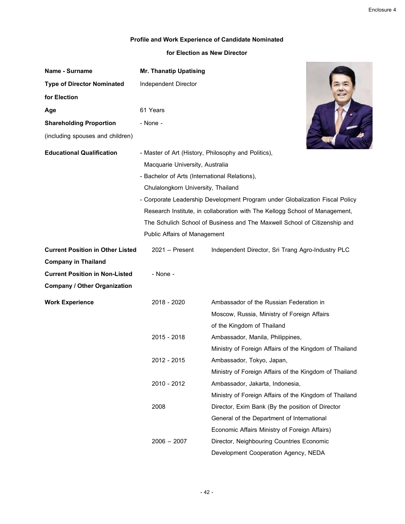**All the State of Company** 

Enclosure 4

## **Profile and Work Experience of Candidate Nominated**

## **for Election as New Director**

| <b>Name - Surname</b>                   | <b>Mr. Thanatip Upatising</b>                 |                                                                              |
|-----------------------------------------|-----------------------------------------------|------------------------------------------------------------------------------|
| <b>Type of Director Nominated</b>       | Independent Director                          |                                                                              |
| for Election                            |                                               |                                                                              |
| Age                                     | 61 Years                                      |                                                                              |
| <b>Shareholding Proportion</b>          | - None -                                      |                                                                              |
| (including spouses and children)        |                                               |                                                                              |
| <b>Educational Qualification</b>        |                                               | - Master of Art (History, Philosophy and Politics),                          |
|                                         | Macquarie University, Australia               |                                                                              |
|                                         | - Bachelor of Arts (International Relations), |                                                                              |
|                                         | Chulalongkorn University, Thailand            |                                                                              |
|                                         |                                               | - Corporate Leadership Development Program under Globalization Fiscal Policy |
|                                         |                                               | Research Institute, in collaboration with The Kellogg School of Management,  |
|                                         |                                               | The Schulich School of Business and The Maxwell School of Citizenship and    |
|                                         | <b>Public Affairs of Management</b>           |                                                                              |
| <b>Current Position in Other Listed</b> | $2021 -$ Present                              | Independent Director, Sri Trang Agro-Industry PLC                            |
| <b>Company in Thailand</b>              |                                               |                                                                              |
| <b>Current Position in Non-Listed</b>   | - None -                                      |                                                                              |
| <b>Company / Other Organization</b>     |                                               |                                                                              |
| <b>Work Experience</b>                  | 2018 - 2020                                   | Ambassador of the Russian Federation in                                      |
|                                         |                                               | Moscow, Russia, Ministry of Foreign Affairs                                  |
|                                         |                                               | of the Kingdom of Thailand                                                   |
|                                         | 2015 - 2018                                   | Ambassador, Manila, Philippines,                                             |
|                                         |                                               | Ministry of Foreign Affairs of the Kingdom of Thailand                       |
|                                         | 2012 - 2015                                   | Ambassador, Tokyo, Japan,                                                    |
|                                         |                                               | Ministry of Foreign Affairs of the Kingdom of Thailand                       |
|                                         | 2010 - 2012                                   | Ambassador, Jakarta, Indonesia,                                              |
|                                         |                                               | Ministry of Foreign Affairs of the Kingdom of Thailand                       |
|                                         | 2008                                          | Director, Exim Bank (By the position of Director                             |
|                                         |                                               | General of the Department of International                                   |
|                                         |                                               | Economic Affairs Ministry of Foreign Affairs)                                |
|                                         | $2006 - 2007$                                 | Director, Neighbouring Countries Economic                                    |
|                                         |                                               | Development Cooperation Agency, NEDA                                         |